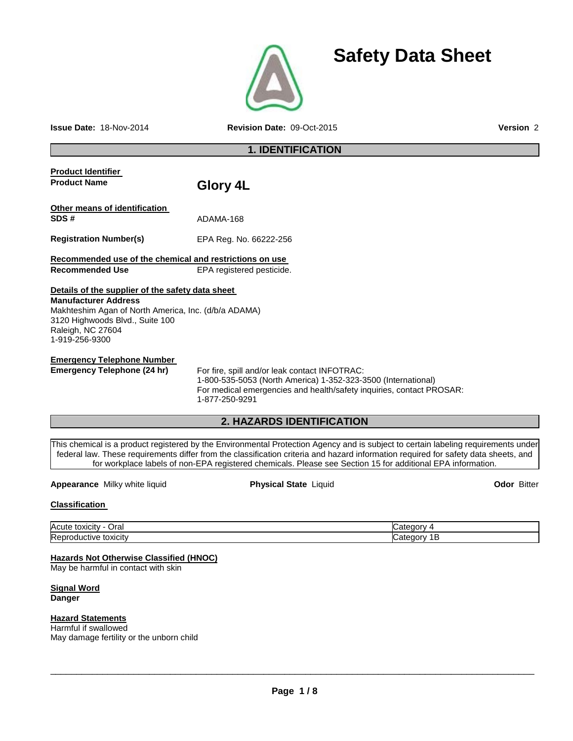

# **Safety Data Sheet**

**Issue Date:** 18-Nov-2014 **Revision Date:** 09-Oct-2015 **Version** 2

# **1. IDENTIFICATION**

| <b>Product Identifier</b><br><b>Product Name</b>                                                                                                              | Glory 4L                                                                                                                                                                                                                                                                                                                                                                                 |                    |
|---------------------------------------------------------------------------------------------------------------------------------------------------------------|------------------------------------------------------------------------------------------------------------------------------------------------------------------------------------------------------------------------------------------------------------------------------------------------------------------------------------------------------------------------------------------|--------------------|
| Other means of identification<br>SDS#                                                                                                                         | ADAMA-168                                                                                                                                                                                                                                                                                                                                                                                |                    |
| <b>Registration Number(s)</b>                                                                                                                                 | EPA Reg. No. 66222-256                                                                                                                                                                                                                                                                                                                                                                   |                    |
| Recommended use of the chemical and restrictions on use                                                                                                       |                                                                                                                                                                                                                                                                                                                                                                                          |                    |
| <b>Recommended Use</b>                                                                                                                                        | EPA registered pesticide.                                                                                                                                                                                                                                                                                                                                                                |                    |
| Details of the supplier of the safety data sheet                                                                                                              |                                                                                                                                                                                                                                                                                                                                                                                          |                    |
| <b>Manufacturer Address</b><br>Makhteshim Agan of North America, Inc. (d/b/a ADAMA)<br>3120 Highwoods Blvd., Suite 100<br>Raleigh, NC 27604<br>1-919-256-9300 |                                                                                                                                                                                                                                                                                                                                                                                          |                    |
| <b>Emergency Telephone Number</b><br><b>Emergency Telephone (24 hr)</b>                                                                                       | For fire, spill and/or leak contact INFOTRAC:<br>1-800-535-5053 (North America) 1-352-323-3500 (International)<br>For medical emergencies and health/safety inquiries, contact PROSAR:<br>1-877-250-9291                                                                                                                                                                                 |                    |
|                                                                                                                                                               | 2. HAZARDS IDENTIFICATION                                                                                                                                                                                                                                                                                                                                                                |                    |
|                                                                                                                                                               | This chemical is a product registered by the Environmental Protection Agency and is subject to certain labeling requirements under<br>federal law. These requirements differ from the classification criteria and hazard information required for safety data sheets, and<br>for workplace labels of non-EPA registered chemicals. Please see Section 15 for additional EPA information. |                    |
| Appearance Milky white liquid                                                                                                                                 | <b>Physical State Liquid</b>                                                                                                                                                                                                                                                                                                                                                             | <b>Odor Bitter</b> |
| <b>Classification</b>                                                                                                                                         |                                                                                                                                                                                                                                                                                                                                                                                          |                    |
| Acute toxicity - Oral                                                                                                                                         |                                                                                                                                                                                                                                                                                                                                                                                          | Category 4         |

### **Hazards Not Otherwise Classified (HNOC)**

May be harmful in contact with skin

#### **Signal Word Danger**

# **Hazard Statements**

Harmful if swallowed May damage fertility or the unborn child

\_\_\_\_\_\_\_\_\_\_\_\_\_\_\_\_\_\_\_\_\_\_\_\_\_\_\_\_\_\_\_\_\_\_\_\_\_\_\_\_\_\_\_\_\_\_\_\_\_\_\_\_\_\_\_\_\_\_\_\_\_\_\_\_\_\_\_\_\_\_\_\_\_\_\_\_\_\_\_\_\_\_\_\_\_\_\_\_\_\_\_\_\_

Reproductive toxicity **Category 1B**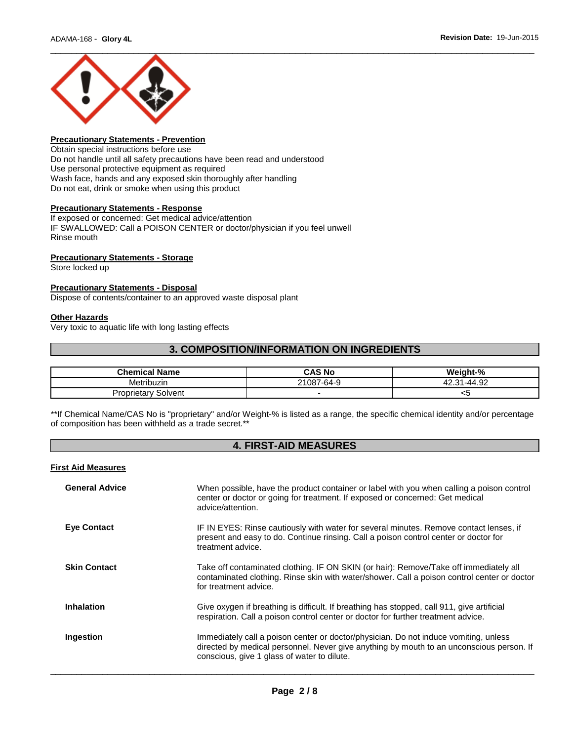

# **Precautionary Statements - Prevention**

Obtain special instructions before use Do not handle until all safety precautions have been read and understood Use personal protective equipment as required Wash face, hands and any exposed skin thoroughly after handling Do not eat, drink or smoke when using this product

#### **Precautionary Statements - Response**

If exposed or concerned: Get medical advice/attention IF SWALLOWED: Call a POISON CENTER or doctor/physician if you feel unwell Rinse mouth

#### **Precautionary Statements - Storage**

Store locked up

#### **Precautionary Statements - Disposal**

Dispose of contents/container to an approved waste disposal plant

#### **Other Hazards**

Very toxic to aquatic life with long lasting effects

#### **3. COMPOSITION/INFORMATION ON INGREDIENTS**

| <b>Chemical Name</b>          | CAS No     | Weight-%                   |
|-------------------------------|------------|----------------------------|
| Metribuzin                    | 21087-64-9 | $-44.92$<br>$\Omega$<br>42 |
| Solvent<br><b>Proprietary</b> |            | ◡                          |

\*\*If Chemical Name/CAS No is "proprietary" and/or Weight-% is listed as a range, the specific chemical identity and/or percentage of composition has been withheld as a trade secret.\*\*

#### **4. FIRST-AID MEASURES**

#### **First Aid Measures**

| <b>General Advice</b> | When possible, have the product container or label with you when calling a poison control<br>center or doctor or going for treatment. If exposed or concerned: Get medical<br>advice/attention.                                 |
|-----------------------|---------------------------------------------------------------------------------------------------------------------------------------------------------------------------------------------------------------------------------|
| <b>Eye Contact</b>    | IF IN EYES: Rinse cautiously with water for several minutes. Remove contact lenses, if<br>present and easy to do. Continue rinsing. Call a poison control center or doctor for<br>treatment advice.                             |
| <b>Skin Contact</b>   | Take off contaminated clothing. IF ON SKIN (or hair): Remove/Take off immediately all<br>contaminated clothing. Rinse skin with water/shower. Call a poison control center or doctor<br>for treatment advice.                   |
| <b>Inhalation</b>     | Give oxygen if breathing is difficult. If breathing has stopped, call 911, give artificial<br>respiration. Call a poison control center or doctor for further treatment advice.                                                 |
| Ingestion             | Immediately call a poison center or doctor/physician. Do not induce vomiting, unless<br>directed by medical personnel. Never give anything by mouth to an unconscious person. If<br>conscious, give 1 glass of water to dilute. |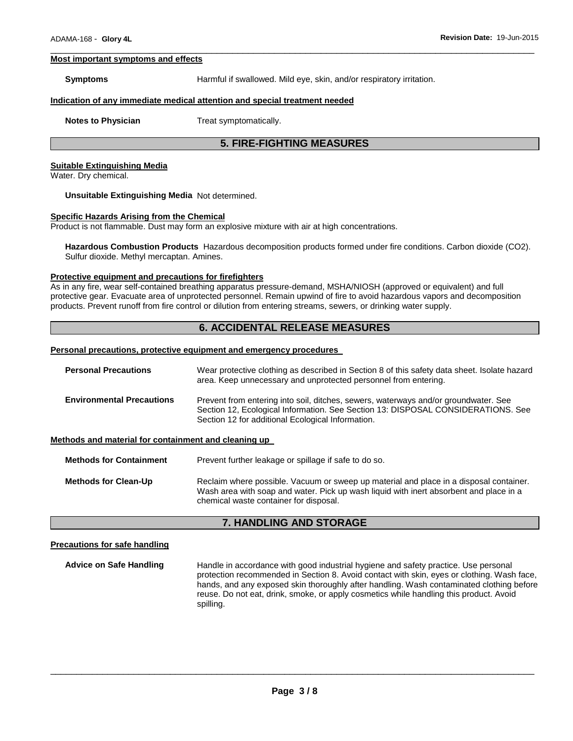#### **Most important symptoms and effects**

**Symptoms** Harmful if swallowed. Mild eye, skin, and/or respiratory irritation.

#### **Indication of any immediate medical attention and special treatment needed**

**Notes to Physician**  Treat symptomatically.

# **5. FIRE-FIGHTING MEASURES**

\_\_\_\_\_\_\_\_\_\_\_\_\_\_\_\_\_\_\_\_\_\_\_\_\_\_\_\_\_\_\_\_\_\_\_\_\_\_\_\_\_\_\_\_\_\_\_\_\_\_\_\_\_\_\_\_\_\_\_\_\_\_\_\_\_\_\_\_\_\_\_\_\_\_\_\_\_\_\_\_\_\_\_\_\_\_\_\_\_\_\_\_\_

#### **Suitable Extinguishing Media**

Water. Dry chemical.

**Unsuitable Extinguishing Media** Not determined.

#### **Specific Hazards Arising from the Chemical**

Product is not flammable. Dust may form an explosive mixture with air at high concentrations.

**Hazardous Combustion Products** Hazardous decomposition products formed under fire conditions. Carbon dioxide (CO2). Sulfur dioxide. Methyl mercaptan. Amines.

#### **Protective equipment and precautions for firefighters**

As in any fire, wear self-contained breathing apparatus pressure-demand, MSHA/NIOSH (approved or equivalent) and full protective gear. Evacuate area of unprotected personnel. Remain upwind of fire to avoid hazardous vapors and decomposition products. Prevent runoff from fire control or dilution from entering streams, sewers, or drinking water supply.

### **6. ACCIDENTAL RELEASE MEASURES**

#### **Personal precautions, protective equipment and emergency procedures**

| <b>Personal Precautions</b>                          | Wear protective clothing as described in Section 8 of this safety data sheet. Isolate hazard<br>area. Keep unnecessary and unprotected personnel from entering.                                                              |
|------------------------------------------------------|------------------------------------------------------------------------------------------------------------------------------------------------------------------------------------------------------------------------------|
| <b>Environmental Precautions</b>                     | Prevent from entering into soil, ditches, sewers, waterways and/or groundwater. See<br>Section 12, Ecological Information. See Section 13: DISPOSAL CONSIDERATIONS. See<br>Section 12 for additional Ecological Information. |
| Methods and material for containment and cleaning up |                                                                                                                                                                                                                              |
| <b>Methods for Containment</b>                       | Prevent further leakage or spillage if safe to do so.                                                                                                                                                                        |
| <b>Methods for Clean-Up</b>                          | Reclaim where possible. Vacuum or sweep up material and place in a disposal container.<br>Wash area with soap and water. Pick up wash liquid with inert absorbent and place in a<br>chemical waste container for disposal.   |

#### **7. HANDLING AND STORAGE**

#### **Precautions for safe handling**

**Advice on Safe Handling** Handle in accordance with good industrial hygiene and safety practice. Use personal protection recommended in Section 8. Avoid contact with skin, eyes or clothing. Wash face, hands, and any exposed skin thoroughly after handling. Wash contaminated clothing before reuse. Do not eat, drink, smoke, or apply cosmetics while handling this product. Avoid spilling.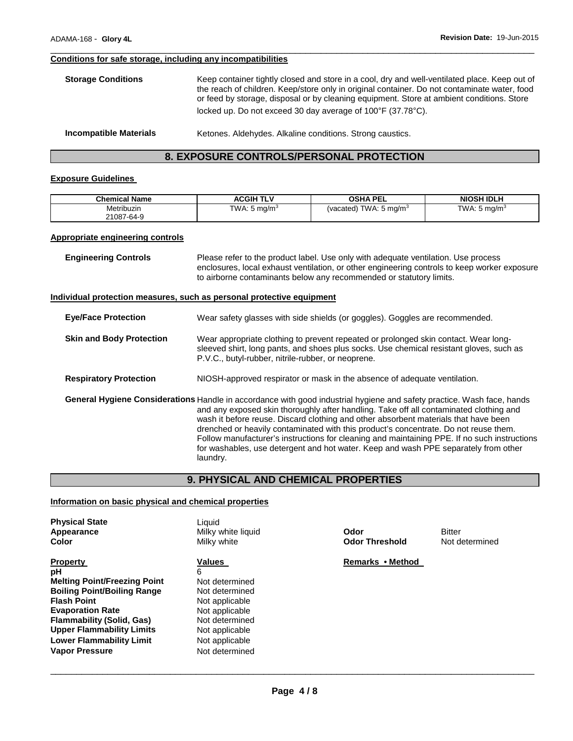#### \_\_\_\_\_\_\_\_\_\_\_\_\_\_\_\_\_\_\_\_\_\_\_\_\_\_\_\_\_\_\_\_\_\_\_\_\_\_\_\_\_\_\_\_\_\_\_\_\_\_\_\_\_\_\_\_\_\_\_\_\_\_\_\_\_\_\_\_\_\_\_\_\_\_\_\_\_\_\_\_\_\_\_\_\_\_\_\_\_\_\_\_\_ **Conditions for safe storage, including any incompatibilities**

| <b>Storage Conditions</b> | Keep container tightly closed and store in a cool, dry and well-ventilated place. Keep out of<br>the reach of children. Keep/store only in original container. Do not contaminate water, food<br>or feed by storage, disposal or by cleaning equipment. Store at ambient conditions. Store<br>locked up. Do not exceed 30 day average of 100°F (37.78°C). |
|---------------------------|-----------------------------------------------------------------------------------------------------------------------------------------------------------------------------------------------------------------------------------------------------------------------------------------------------------------------------------------------------------|
|                           |                                                                                                                                                                                                                                                                                                                                                           |

**Incompatible Materials Ketones. Aldehydes. Alkaline conditions. Strong caustics.** 

# **8. EXPOSURE CONTROLS/PERSONAL PROTECTION**

#### **Exposure Guidelines**

| <b>Chemical Name</b> | <b>ACGIH TLV</b>         | <b>OSHA PEL</b>                      | <b>NIOSH IDLH</b>        |
|----------------------|--------------------------|--------------------------------------|--------------------------|
| Metribuzin           | TWA: 5 mg/m <sup>3</sup> | (vacated) TWA: $5 \,\mathrm{mq/m^3}$ | TWA: 5 mg/m <sup>3</sup> |
| 21087-64-9           |                          |                                      |                          |

#### **Appropriate engineering controls**

| <b>Engineering Controls</b>     | Please refer to the product label. Use only with adequate ventilation. Use process<br>enclosures, local exhaust ventilation, or other engineering controls to keep worker exposure<br>to airborne contaminants below any recommended or statutory limits.                                                                                                                                                                                                                                                                                                                                          |
|---------------------------------|----------------------------------------------------------------------------------------------------------------------------------------------------------------------------------------------------------------------------------------------------------------------------------------------------------------------------------------------------------------------------------------------------------------------------------------------------------------------------------------------------------------------------------------------------------------------------------------------------|
|                                 | Individual protection measures, such as personal protective equipment                                                                                                                                                                                                                                                                                                                                                                                                                                                                                                                              |
| <b>Eye/Face Protection</b>      | Wear safety glasses with side shields (or goggles). Goggles are recommended.                                                                                                                                                                                                                                                                                                                                                                                                                                                                                                                       |
| <b>Skin and Body Protection</b> | Wear appropriate clothing to prevent repeated or prolonged skin contact. Wear long-<br>sleeved shirt, long pants, and shoes plus socks. Use chemical resistant gloves, such as<br>P.V.C., butyl-rubber, nitrile-rubber, or neoprene.                                                                                                                                                                                                                                                                                                                                                               |
| <b>Respiratory Protection</b>   | NIOSH-approved respirator or mask in the absence of adequate ventilation.                                                                                                                                                                                                                                                                                                                                                                                                                                                                                                                          |
|                                 | General Hygiene Considerations Handle in accordance with good industrial hygiene and safety practice. Wash face, hands<br>and any exposed skin thoroughly after handling. Take off all contaminated clothing and<br>wash it before reuse. Discard clothing and other absorbent materials that have been<br>drenched or heavily contaminated with this product's concentrate. Do not reuse them.<br>Follow manufacturer's instructions for cleaning and maintaining PPE. If no such instructions<br>for washables, use detergent and hot water. Keep and wash PPE separately from other<br>laundry. |

# **9. PHYSICAL AND CHEMICAL PROPERTIES**

#### **Information on basic physical and chemical properties**

| <b>Physical State</b><br>Appearance<br>Color                                                                                                                                                                                                                                            | Liauid<br>Milky white liquid<br>Milky white                                                                                                                 | Odor<br><b>Odor Threshold</b> | <b>Bitter</b><br>Not determined |
|-----------------------------------------------------------------------------------------------------------------------------------------------------------------------------------------------------------------------------------------------------------------------------------------|-------------------------------------------------------------------------------------------------------------------------------------------------------------|-------------------------------|---------------------------------|
| <b>Property</b><br>рH<br><b>Melting Point/Freezing Point</b><br><b>Boiling Point/Boiling Range</b><br><b>Flash Point</b><br><b>Evaporation Rate</b><br><b>Flammability (Solid, Gas)</b><br><b>Upper Flammability Limits</b><br><b>Lower Flammability Limit</b><br><b>Vapor Pressure</b> | Values<br>6<br>Not determined<br>Not determined<br>Not applicable<br>Not applicable<br>Not determined<br>Not applicable<br>Not applicable<br>Not determined | Remarks • Method              |                                 |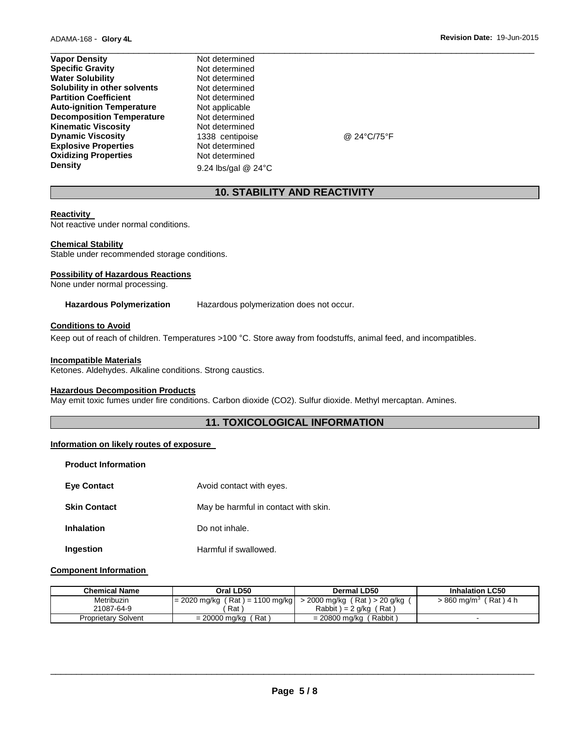| <b>Vapor Density</b>             | Not determined      |             |  |
|----------------------------------|---------------------|-------------|--|
| <b>Specific Gravity</b>          | Not determined      |             |  |
| <b>Water Solubility</b>          | Not determined      |             |  |
| Solubility in other solvents     | Not determined      |             |  |
| <b>Partition Coefficient</b>     | Not determined      |             |  |
| <b>Auto-ignition Temperature</b> | Not applicable      |             |  |
| <b>Decomposition Temperature</b> | Not determined      |             |  |
| <b>Kinematic Viscosity</b>       | Not determined      |             |  |
| <b>Dynamic Viscosity</b>         | 1338 centipoise     | @ 24°C/75°F |  |
| <b>Explosive Properties</b>      | Not determined      |             |  |
| <b>Oxidizing Properties</b>      | Not determined      |             |  |
| <b>Density</b>                   | 9.24 lbs/gal @ 24°C |             |  |

# **10. STABILITY AND REACTIVITY**

#### **Reactivity**

Not reactive under normal conditions.

#### **Chemical Stability**

Stable under recommended storage conditions.

#### **Possibility of Hazardous Reactions**

None under normal processing.

**Hazardous Polymerization** Hazardous polymerization does not occur.

#### **Conditions to Avoid**

Keep out of reach of children. Temperatures >100 °C. Store away from foodstuffs, animal feed, and incompatibles.

#### **Incompatible Materials**

Ketones. Aldehydes. Alkaline conditions. Strong caustics.

#### **Hazardous Decomposition Products**

May emit toxic fumes under fire conditions. Carbon dioxide (CO2). Sulfur dioxide. Methyl mercaptan. Amines.

# **11. TOXICOLOGICAL INFORMATION**

#### **Information on likely routes of exposure**

| <b>Product Information</b> |                                      |
|----------------------------|--------------------------------------|
| <b>Eye Contact</b>         | Avoid contact with eyes.             |
| <b>Skin Contact</b>        | May be harmful in contact with skin. |
| <b>Inhalation</b>          | Do not inhale.                       |
| Ingestion                  | Harmful if swallowed.                |

#### **Component Information**

| <b>Chemical Name</b>       | Oral LD50                         | Dermal LD50                  | <b>Inhalation LC50</b>                 |
|----------------------------|-----------------------------------|------------------------------|----------------------------------------|
| Metribuzin                 | $= 2020$ mg/kg (Rat) = 1100 mg/kg | > 2000 mg/kg (Rat) > 20 g/kg | ( Rat ) 4 h<br>> 860 mg/m <sup>3</sup> |
| 21087-64-9                 | Rat                               | Rabbit $) = 2$ g/kg (Rat)    |                                        |
| <b>Proprietary Solvent</b> | $= 20000 \text{ mg/kg}$<br>Rat    | $= 20800$ mg/kg (Rabbit)     |                                        |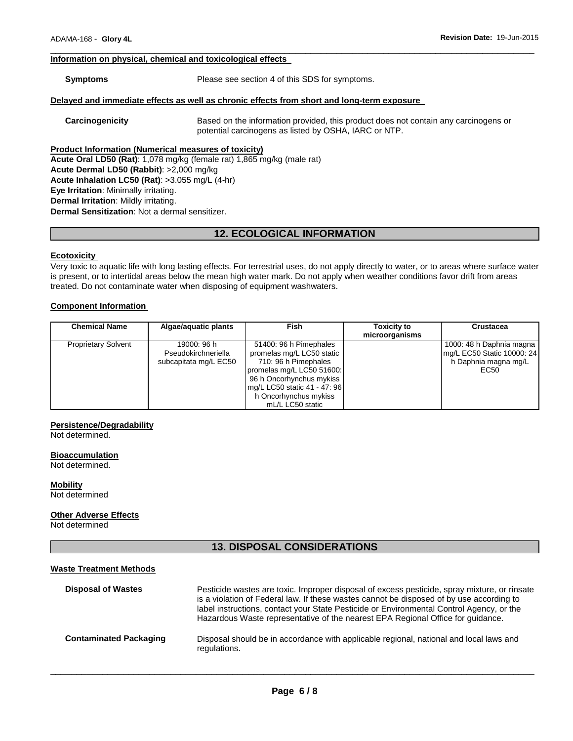#### **Information on physical, chemical and toxicological effects**

**Symptoms** Please see section 4 of this SDS for symptoms.

\_\_\_\_\_\_\_\_\_\_\_\_\_\_\_\_\_\_\_\_\_\_\_\_\_\_\_\_\_\_\_\_\_\_\_\_\_\_\_\_\_\_\_\_\_\_\_\_\_\_\_\_\_\_\_\_\_\_\_\_\_\_\_\_\_\_\_\_\_\_\_\_\_\_\_\_\_\_\_\_\_\_\_\_\_\_\_\_\_\_\_\_\_

#### **Delayed and immediate effects as well as chronic effects from short and long-term exposure**

**Carcinogenicity** Based on the information provided, this product does not contain any carcinogens or potential carcinogens as listed by OSHA, IARC or NTP.

**Product Information (Numerical measures of toxicity)**

**Acute Oral LD50 (Rat)**: 1,078 mg/kg (female rat) 1,865 mg/kg (male rat) **Acute Dermal LD50 (Rabbit)**: >2,000 mg/kg **Acute Inhalation LC50 (Rat)**: >3.055 mg/L (4-hr) **Eye Irritation**: Minimally irritating. **Dermal Irritation**: Mildly irritating. **Dermal Sensitization**: Not a dermal sensitizer.

# **12. ECOLOGICAL INFORMATION**

#### **Ecotoxicity**

Very toxic to aquatic life with long lasting effects. For terrestrial uses, do not apply directly to water, or to areas where surface water is present, or to intertidal areas below the mean high water mark. Do not apply when weather conditions favor drift from areas treated. Do not contaminate water when disposing of equipment washwaters.

#### **Component Information**

| <b>Chemical Name</b>       | Algae/aguatic plants                                        | <b>Fish</b>                                                                                                                                                                                                       | <b>Toxicity to</b><br>microorganisms | Crustacea                                                                              |
|----------------------------|-------------------------------------------------------------|-------------------------------------------------------------------------------------------------------------------------------------------------------------------------------------------------------------------|--------------------------------------|----------------------------------------------------------------------------------------|
| <b>Proprietary Solvent</b> | 19000: 96 h<br>Pseudokirchneriella<br>subcapitata mg/L EC50 | 51400: 96 h Pimephales<br>promelas mg/L LC50 static<br>710: 96 h Pimephales<br>promelas mg/L LC50 51600:<br>96 h Oncorhynchus mykiss<br>mg/L LC50 static 41 - 47: 96<br>h Oncorhynchus mykiss<br>mL/L LC50 static |                                      | 1000: 48 h Daphnia magna<br>mg/L EC50 Static 10000: 24<br>h Daphnia magna mg/L<br>EC50 |

#### **Persistence/Degradability**

Not determined.

#### **Bioaccumulation**

Not determined.

**Mobility**

Not determined

#### **Other Adverse Effects**

Not determined

# **13. DISPOSAL CONSIDERATIONS**

| <b>Waste Treatment Methods</b> |                                                                                                                                                                                                                                                                                                                                                                         |
|--------------------------------|-------------------------------------------------------------------------------------------------------------------------------------------------------------------------------------------------------------------------------------------------------------------------------------------------------------------------------------------------------------------------|
| <b>Disposal of Wastes</b>      | Pesticide wastes are toxic. Improper disposal of excess pesticide, spray mixture, or rinsate<br>is a violation of Federal law. If these wastes cannot be disposed of by use according to<br>label instructions, contact your State Pesticide or Environmental Control Agency, or the<br>Hazardous Waste representative of the nearest EPA Regional Office for guidance. |
| <b>Contaminated Packaging</b>  | Disposal should be in accordance with applicable regional, national and local laws and<br>regulations.                                                                                                                                                                                                                                                                  |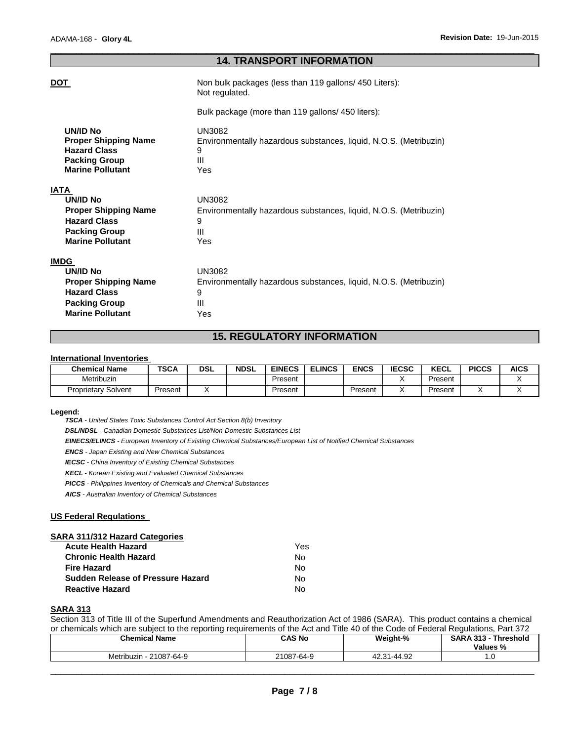#### \_\_\_\_\_\_\_\_\_\_\_\_\_\_\_\_\_\_\_\_\_\_\_\_\_\_\_\_\_\_\_\_\_\_\_\_\_\_\_\_\_\_\_\_\_\_\_\_\_\_\_\_\_\_\_\_\_\_\_\_\_\_\_\_\_\_\_\_\_\_\_\_\_\_\_\_\_\_\_\_\_\_\_\_\_\_\_\_\_\_\_\_\_ **14. TRANSPORT INFORMATION**

Non bulk packages (less than 119 gallons/ 450 Liters):

#### **DOT**

|                                                                                                                          | Bulk package (more than 119 gallons/ 450 liters):                                                         |
|--------------------------------------------------------------------------------------------------------------------------|-----------------------------------------------------------------------------------------------------------|
| <b>UN/ID No</b><br><b>Proper Shipping Name</b><br><b>Hazard Class</b><br><b>Packing Group</b><br><b>Marine Pollutant</b> | UN3082<br>Environmentally hazardous substances, liquid, N.O.S. (Metribuzin)<br>9<br>$\mathbf{III}$<br>Yes |
| <b>IATA</b>                                                                                                              |                                                                                                           |
| UN/ID No                                                                                                                 | UN3082                                                                                                    |
| <b>Proper Shipping Name</b>                                                                                              | Environmentally hazardous substances, liquid, N.O.S. (Metribuzin)                                         |
| <b>Hazard Class</b>                                                                                                      | 9                                                                                                         |
| <b>Packing Group</b>                                                                                                     | $\mathbf{III}$                                                                                            |
| <b>Marine Pollutant</b>                                                                                                  | Yes                                                                                                       |
| <b>IMDG</b>                                                                                                              |                                                                                                           |
| UN/ID No                                                                                                                 | <b>UN3082</b>                                                                                             |
| <b>Proper Shipping Name</b>                                                                                              | Environmentally hazardous substances, liquid, N.O.S. (Metribuzin)                                         |
| <b>Hazard Class</b>                                                                                                      | 9                                                                                                         |
| <b>Packing Group</b>                                                                                                     | Ш                                                                                                         |
| <b>Marine Pollutant</b>                                                                                                  | Yes                                                                                                       |

Not regulated.

# **15. REGULATORY INFORMATION**

#### **International Inventories**

| <b>Chemical Name</b>       | TSCA    | DSL | <b>NDSL</b> | <b>EINECS</b> | <b>ELINCS</b> | <b>ENCS</b> | <b>IECSC</b> | <b>KECL</b> | <b>PICCS</b> | <b>AICS</b> |
|----------------------------|---------|-----|-------------|---------------|---------------|-------------|--------------|-------------|--------------|-------------|
| Metribuzin                 |         |     |             | Present       |               |             |              | Present     |              |             |
| <b>Proprietary Solvent</b> | Present |     |             | Present       |               | Present     |              | Present     |              |             |

#### **Legend:**

*TSCA - United States Toxic Substances Control Act Section 8(b) Inventory DSL/NDSL - Canadian Domestic Substances List/Non-Domestic Substances List EINECS/ELINCS - European Inventory of Existing Chemical Substances/European List of Notified Chemical Substances ENCS - Japan Existing and New Chemical Substances IECSC - China Inventory of Existing Chemical Substances KECL - Korean Existing and Evaluated Chemical Substances PICCS - Philippines Inventory of Chemicals and Chemical Substances* 

*AICS - Australian Inventory of Chemical Substances* 

#### **US Federal Regulations**

#### **SARA 311/312 Hazard Categories Acute Health Hazard**  Yes

| N٥ |
|----|
| N٥ |
| N٥ |
| N٥ |
|    |

#### **SARA 313**

Section 313 of Title III of the Superfund Amendments and Reauthorization Act of 1986 (SARA). This product contains a chemical or chemicals which are subject to the reporting requirements of the Act and Title 40 of the Code of Federal Regulations, Part 372

| <b>Chemical Name</b>     | CAS No     | Weight-%           | <b>SARA 313</b><br>Threshold<br>Values % |
|--------------------------|------------|--------------------|------------------------------------------|
| 21087-64-9<br>Metribuzin | 21087-64-9 | -44.92<br>$\Omega$ | $\cdot\cdot\cdot$                        |